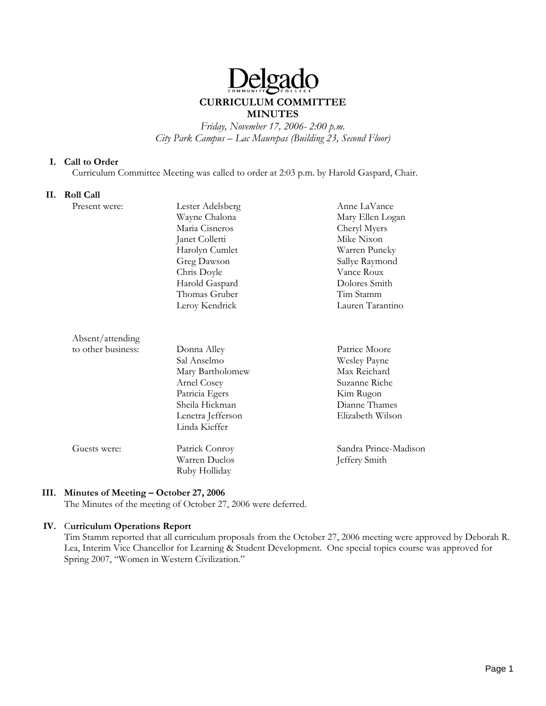# eload

## **CURRICULUM COMMITTEE MINUTES**

*Friday, November 17, 2006- 2:00 p.m. City Park Campus – Lac Maurepas (Building 23, Second Floor)* 

## **I. Call to Order**

Curriculum Committee Meeting was called to order at 2:03 p.m. by Harold Gaspard, Chair.

#### **II. Roll Call**

| Present were:                          | Lester Adelsberg  | Anne LaVance          |
|----------------------------------------|-------------------|-----------------------|
|                                        | Wayne Chalona     | Mary Ellen Logan      |
|                                        | Maria Cisneros    | Cheryl Myers          |
|                                        | Janet Colletti    | Mike Nixon            |
|                                        | Harolyn Cumlet    | Warren Puneky         |
|                                        | Greg Dawson       | Sallye Raymond        |
|                                        | Chris Doyle       | Vance Roux            |
|                                        | Harold Gaspard    | Dolores Smith         |
|                                        | Thomas Gruber     | Tim Stamm             |
|                                        | Leroy Kendrick    | Lauren Tarantino      |
|                                        |                   |                       |
| Absent/attending<br>to other business: | Donna Alley       | Patrice Moore         |
|                                        | Sal Anselmo       | <b>Wesley Payne</b>   |
|                                        | Mary Bartholomew  | Max Reichard          |
|                                        | Arnel Cosey       | Suzanne Riche         |
|                                        | Patricia Egers    | Kim Rugon             |
|                                        | Sheila Hickman    | Dianne Thames         |
|                                        | Lenetra Jefferson | Elizabeth Wilson      |
|                                        | Linda Kieffer     |                       |
| Guests were:                           | Patrick Conroy    | Sandra Prince-Madison |
|                                        | Warren Duclos     |                       |
|                                        |                   | Jeffery Smith         |
|                                        | Ruby Holliday     |                       |

## **III. Minutes of Meeting – October 27, 2006**

The Minutes of the meeting of October 27, 2006 were deferred.

#### **IV.** C**urriculum Operations Report**

Tim Stamm reported that all curriculum proposals from the October 27, 2006 meeting were approved by Deborah R. Lea, Interim Vice Chancellor for Learning & Student Development. One special topics course was approved for Spring 2007, "Women in Western Civilization."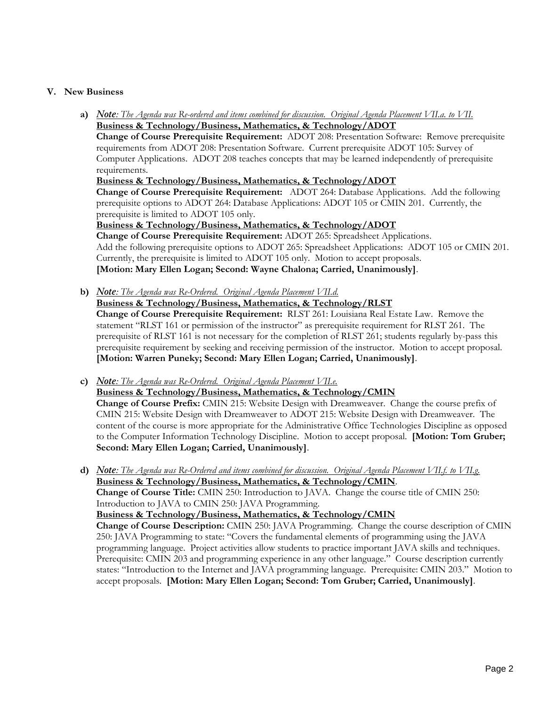## **V. New Business**

**a)** *Note: The Agenda was Re-ordered and items combined for discussion. Original Agenda Placement VII.a. to VII.* **Business & Technology/Business, Mathematics, & Technology/ADOT**

**Change of Course Prerequisite Requirement:** ADOT 208: Presentation Software: Remove prerequisite requirements from ADOT 208: Presentation Software. Current prerequisite ADOT 105: Survey of Computer Applications. ADOT 208 teaches concepts that may be learned independently of prerequisite requirements.

#### **Business & Technology/Business, Mathematics, & Technology/ADOT**

**Change of Course Prerequisite Requirement:** ADOT 264: Database Applications. Add the following prerequisite options to ADOT 264: Database Applications: ADOT 105 or CMIN 201. Currently, the prerequisite is limited to ADOT 105 only.

**Business & Technology/Business, Mathematics, & Technology/ADOT**

**Change of Course Prerequisite Requirement:** ADOT 265: Spreadsheet Applications. Add the following prerequisite options to ADOT 265: Spreadsheet Applications: ADOT 105 or CMIN 201. Currently, the prerequisite is limited to ADOT 105 only. Motion to accept proposals. **[Motion: Mary Ellen Logan; Second: Wayne Chalona; Carried, Unanimously]**.

**b)** *Note: The Agenda was Re-Ordered. Original Agenda Placement VII.d.*

**Business & Technology/Business, Mathematics, & Technology/RLST**

**Change of Course Prerequisite Requirement:** RLST 261: Louisiana Real Estate Law. Remove the statement "RLST 161 or permission of the instructor" as prerequisite requirement for RLST 261. The prerequisite of RLST 161 is not necessary for the completion of RLST 261; students regularly by-pass this prerequisite requirement by seeking and receiving permission of the instructor. Motion to accept proposal. **[Motion: Warren Puneky; Second: Mary Ellen Logan; Carried, Unanimously]**.

**c)** *Note: The Agenda was Re-Ordered. Original Agenda Placement VII.e.*

**Business & Technology/Business, Mathematics, & Technology/CMIN**

**Change of Course Prefix:** CMIN 215: Website Design with Dreamweaver. Change the course prefix of CMIN 215: Website Design with Dreamweaver to ADOT 215: Website Design with Dreamweaver. The content of the course is more appropriate for the Administrative Office Technologies Discipline as opposed to the Computer Information Technology Discipline. Motion to accept proposal. **[Motion: Tom Gruber; Second: Mary Ellen Logan; Carried, Unanimously]**.

**d)** *Note: The Agenda was Re-Ordered and items combined for discussion. Original Agenda Placement VII.f. to VII.g.* **Business & Technology/Business, Mathematics, & Technology/CMIN**. **Change of Course Title:** CMIN 250: Introduction to JAVA. Change the course title of CMIN 250: Introduction to JAVA to CMIN 250: JAVA Programming. **Business & Technology/Business, Mathematics, & Technology/CMIN Change of Course Description:** CMIN 250: JAVA Programming. Change the course description of CMIN 250: JAVA Programming to state: "Covers the fundamental elements of programming using the JAVA programming language. Project activities allow students to practice important JAVA skills and techniques. Prerequisite: CMIN 203 and programming experience in any other language." Course description currently states: "Introduction to the Internet and JAVA programming language. Prerequisite: CMIN 203." Motion to accept proposals. **[Motion: Mary Ellen Logan; Second: Tom Gruber; Carried, Unanimously]**.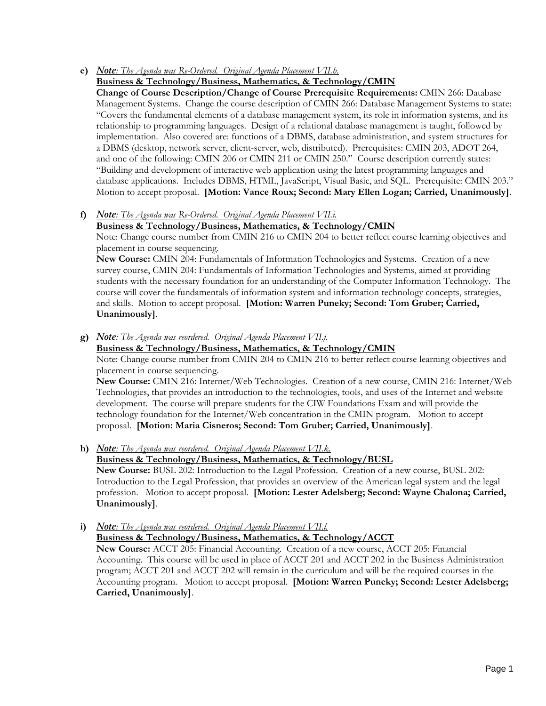# **e)** *Note: The Agenda was Re-Ordered. Original Agenda Placement VII.h.*

## **Business & Technology/Business, Mathematics, & Technology/CMIN**

**Change of Course Description/Change of Course Prerequisite Requirements:** CMIN 266: Database Management Systems. Change the course description of CMIN 266: Database Management Systems to state: "Covers the fundamental elements of a database management system, its role in information systems, and its relationship to programming languages. Design of a relational database management is taught, followed by implementation. Also covered are: functions of a DBMS, database administration, and system structures for a DBMS (desktop, network server, client-server, web, distributed). Prerequisites: CMIN 203, ADOT 264, and one of the following: CMIN 206 or CMIN 211 or CMIN 250." Course description currently states: "Building and development of interactive web application using the latest programming languages and database applications. Includes DBMS, HTML, JavaScript, Visual Basic, and SQL. Prerequisite: CMIN 203." Motion to accept proposal. **[Motion: Vance Roux; Second: Mary Ellen Logan; Carried, Unanimously]**.

**f)** *Note: The Agenda was Re-Ordered. Original Agenda Placement VII.i.*

# **Business & Technology/Business, Mathematics, & Technology/CMIN**

Note: Change course number from CMIN 216 to CMIN 204 to better reflect course learning objectives and placement in course sequencing.

**New Course:** CMIN 204: Fundamentals of Information Technologies and Systems. Creation of a new survey course, CMIN 204: Fundamentals of Information Technologies and Systems, aimed at providing students with the necessary foundation for an understanding of the Computer Information Technology. The course will cover the fundamentals of information system and information technology concepts, strategies, and skills. Motion to accept proposal. **[Motion: Warren Puneky; Second: Tom Gruber; Carried, Unanimously]**.

**g)** *Note: The Agenda was reordered. Original Agenda Placement VII.j.*

## **Business & Technology/Business, Mathematics, & Technology/CMIN**

Note: Change course number from CMIN 204 to CMIN 216 to better reflect course learning objectives and placement in course sequencing.

**New Course:** CMIN 216: Internet/Web Technologies. Creation of a new course, CMIN 216: Internet/Web Technologies, that provides an introduction to the technologies, tools, and uses of the Internet and website development. The course will prepare students for the CIW Foundations Exam and will provide the technology foundation for the Internet/Web concentration in the CMIN program. Motion to accept proposal. **[Motion: Maria Cisneros; Second: Tom Gruber; Carried, Unanimously]**.

**h)** *Note: The Agenda was reordered. Original Agenda Placement VII.k.*

## **Business & Technology/Business, Mathematics, & Technology/BUSL**

**New Course:** BUSL 202: Introduction to the Legal Profession. Creation of a new course, BUSL 202: Introduction to the Legal Profession, that provides an overview of the American legal system and the legal profession. Motion to accept proposal. **[Motion: Lester Adelsberg; Second: Wayne Chalona; Carried, Unanimously]**.

**i)** *Note: The Agenda was reordered. Original Agenda Placement VII.l.* **Business & Technology/Business, Mathematics, & Technology/ACCT**

**New Course:** ACCT 205: Financial Accounting. Creation of a new course, ACCT 205: Financial Accounting. This course will be used in place of ACCT 201 and ACCT 202 in the Business Administration program; ACCT 201 and ACCT 202 will remain in the curriculum and will be the required courses in the Accounting program. Motion to accept proposal. **[Motion: Warren Puneky; Second: Lester Adelsberg; Carried, Unanimously]**.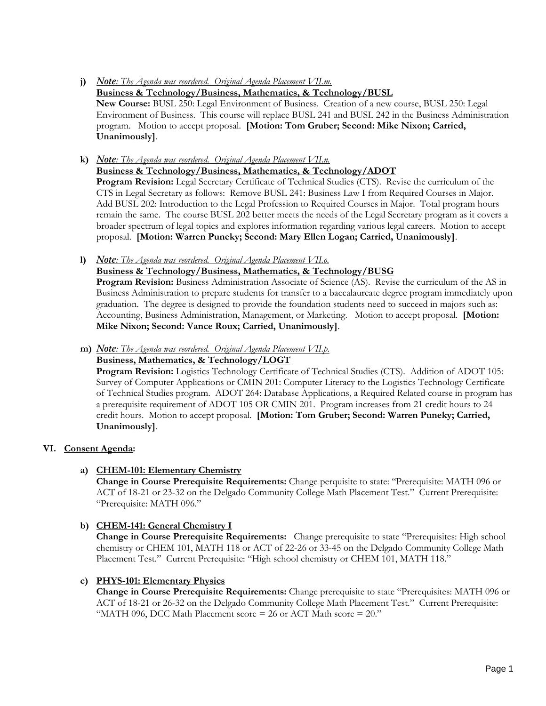**j)** *Note: The Agenda was reordered. Original Agenda Placement VII.m.*

# **Business & Technology/Business, Mathematics, & Technology/BUSL**

**New Course:** BUSL 250: Legal Environment of Business. Creation of a new course, BUSL 250: Legal Environment of Business. This course will replace BUSL 241 and BUSL 242 in the Business Administration program. Motion to accept proposal. **[Motion: Tom Gruber; Second: Mike Nixon; Carried, Unanimously]**.

**k)** *Note: The Agenda was reordered. Original Agenda Placement VII.n.*

**Business & Technology/Business, Mathematics, & Technology/ADOT**

**Program Revision:** Legal Secretary Certificate of Technical Studies (CTS). Revise the curriculum of the CTS in Legal Secretary as follows: Remove BUSL 241: Business Law I from Required Courses in Major. Add BUSL 202: Introduction to the Legal Profession to Required Courses in Major. Total program hours remain the same. The course BUSL 202 better meets the needs of the Legal Secretary program as it covers a broader spectrum of legal topics and explores information regarding various legal careers. Motion to accept proposal. **[Motion: Warren Puneky; Second: Mary Ellen Logan; Carried, Unanimously]**.

**l)** *Note: The Agenda was reordered. Original Agenda Placement VII.o.*

**Business & Technology/Business, Mathematics, & Technology/BUSG**

**Program Revision:** Business Administration Associate of Science (AS). Revise the curriculum of the AS in Business Administration to prepare students for transfer to a baccalaureate degree program immediately upon graduation. The degree is designed to provide the foundation students need to succeed in majors such as: Accounting, Business Administration, Management, or Marketing. Motion to accept proposal. **[Motion: Mike Nixon; Second: Vance Roux; Carried, Unanimously]**.

**m)** *Note: The Agenda was reordered. Original Agenda Placement VII.p.* **Business, Mathematics, & Technology/LOGT**

**Program Revision:** Logistics Technology Certificate of Technical Studies (CTS). Addition of ADOT 105: Survey of Computer Applications or CMIN 201: Computer Literacy to the Logistics Technology Certificate of Technical Studies program. ADOT 264: Database Applications, a Required Related course in program has a prerequisite requirement of ADOT 105 OR CMIN 201. Program increases from 21 credit hours to 24 credit hours. Motion to accept proposal. **[Motion: Tom Gruber; Second: Warren Puneky; Carried, Unanimously]**.

# **VI. Consent Agenda:**

# **a) CHEM-101: Elementary Chemistry**

**Change in Course Prerequisite Requirements:** Change perquisite to state: "Prerequisite: MATH 096 or ACT of 18-21 or 23-32 on the Delgado Community College Math Placement Test." Current Prerequisite: "Prerequisite: MATH 096."

## **b) CHEM-141: General Chemistry I**

**Change in Course Prerequisite Requirements:** Change prerequisite to state "Prerequisites: High school chemistry or CHEM 101, MATH 118 or ACT of 22-26 or 33-45 on the Delgado Community College Math Placement Test." Current Prerequisite: "High school chemistry or CHEM 101, MATH 118."

## **c) PHYS-101: Elementary Physics**

**Change in Course Prerequisite Requirements:** Change prerequisite to state "Prerequisites: MATH 096 or ACT of 18-21 or 26-32 on the Delgado Community College Math Placement Test." Current Prerequisite: "MATH 096, DCC Math Placement score = 26 or ACT Math score = 20."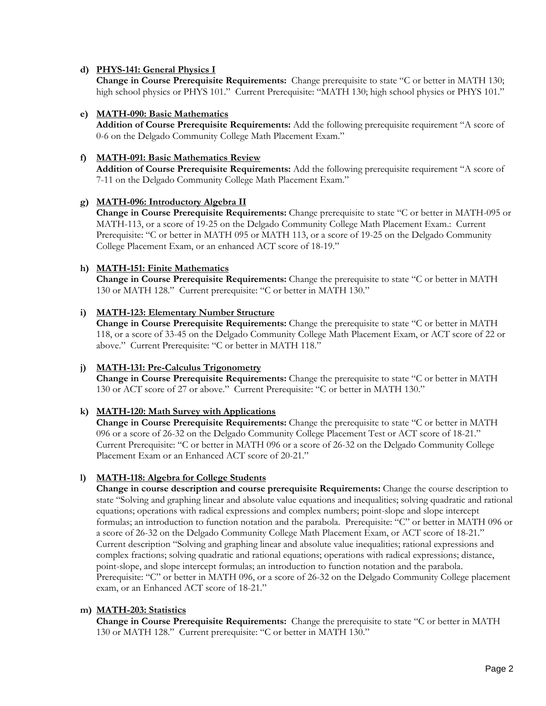#### **d) PHYS-141: General Physics I**

**Change in Course Prerequisite Requirements:** Change prerequisite to state "C or better in MATH 130; high school physics or PHYS 101." Current Prerequisite: "MATH 130; high school physics or PHYS 101."

#### **e) MATH-090: Basic Mathematics**

**Addition of Course Prerequisite Requirements:** Add the following prerequisite requirement "A score of 0-6 on the Delgado Community College Math Placement Exam."

#### **f) MATH-091: Basic Mathematics Review**

**Addition of Course Prerequisite Requirements:** Add the following prerequisite requirement "A score of 7-11 on the Delgado Community College Math Placement Exam."

#### **g) MATH-096: Introductory Algebra II**

**Change in Course Prerequisite Requirements:** Change prerequisite to state "C or better in MATH-095 or MATH-113, or a score of 19-25 on the Delgado Community College Math Placement Exam.: Current Prerequisite: "C or better in MATH 095 or MATH 113, or a score of 19-25 on the Delgado Community College Placement Exam, or an enhanced ACT score of 18-19."

## **h) MATH-151: Finite Mathematics**

**Change in Course Prerequisite Requirements:** Change the prerequisite to state "C or better in MATH 130 or MATH 128." Current prerequisite: "C or better in MATH 130."

#### **i) MATH-123: Elementary Number Structure**

**Change in Course Prerequisite Requirements:** Change the prerequisite to state "C or better in MATH 118, or a score of 33-45 on the Delgado Community College Math Placement Exam, or ACT score of 22 or above." Current Prerequisite: "C or better in MATH 118."

#### **j) MATH-131: Pre-Calculus Trigonometry**

**Change in Course Prerequisite Requirements:** Change the prerequisite to state "C or better in MATH 130 or ACT score of 27 or above." Current Prerequisite: "C or better in MATH 130."

## **k) MATH-120: Math Survey with Applications**

**Change in Course Prerequisite Requirements:** Change the prerequisite to state "C or better in MATH 096 or a score of 26-32 on the Delgado Community College Placement Test or ACT score of 18-21." Current Prerequisite: "C or better in MATH 096 or a score of 26-32 on the Delgado Community College Placement Exam or an Enhanced ACT score of 20-21."

## **l) MATH-118: Algebra for College Students**

**Change in course description and course prerequisite Requirements:** Change the course description to state "Solving and graphing linear and absolute value equations and inequalities; solving quadratic and rational equations; operations with radical expressions and complex numbers; point-slope and slope intercept formulas; an introduction to function notation and the parabola. Prerequisite: "C" or better in MATH 096 or a score of 26-32 on the Delgado Community College Math Placement Exam, or ACT score of 18-21." Current description "Solving and graphing linear and absolute value inequalities; rational expressions and complex fractions; solving quadratic and rational equations; operations with radical expressions; distance, point-slope, and slope intercept formulas; an introduction to function notation and the parabola. Prerequisite: "C" or better in MATH 096, or a score of 26-32 on the Delgado Community College placement exam, or an Enhanced ACT score of 18-21."

#### **m) MATH-203: Statistics**

**Change in Course Prerequisite Requirements:** Change the prerequisite to state "C or better in MATH 130 or MATH 128." Current prerequisite: "C or better in MATH 130."